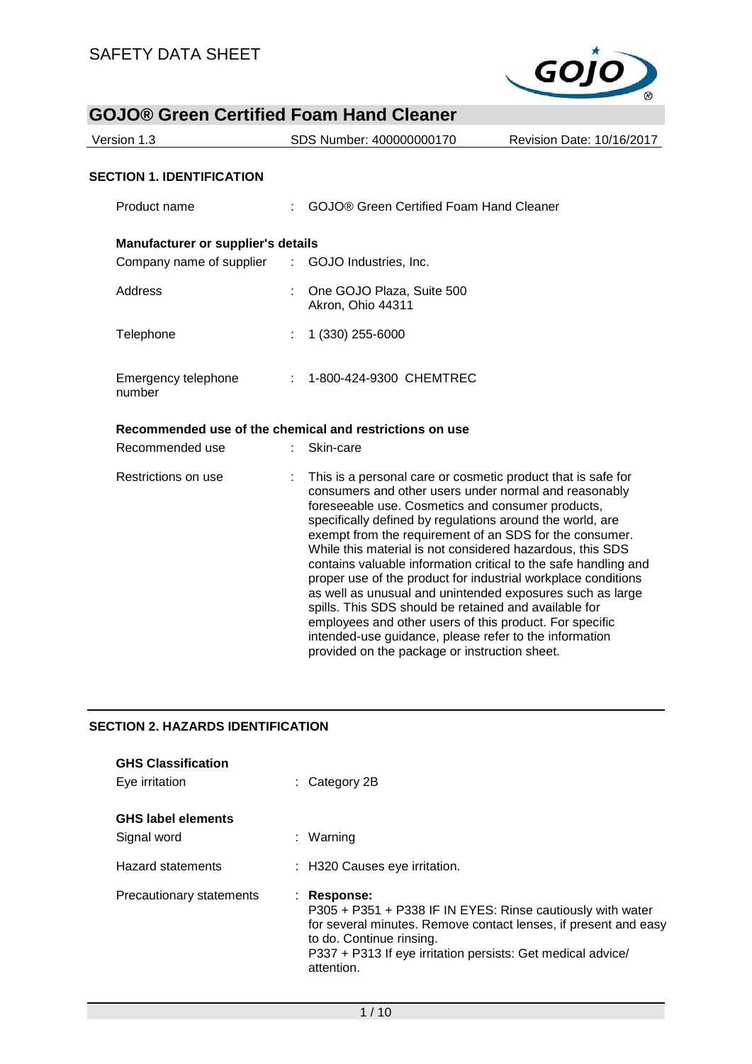

| <b>GOJO® Green Certified Foam Hand Cleaner</b>   |                                                                                                                                                                                                                                                                                                                                                                                                                                                                                                                                                                                                                                                                                      |                           |
|--------------------------------------------------|--------------------------------------------------------------------------------------------------------------------------------------------------------------------------------------------------------------------------------------------------------------------------------------------------------------------------------------------------------------------------------------------------------------------------------------------------------------------------------------------------------------------------------------------------------------------------------------------------------------------------------------------------------------------------------------|---------------------------|
| Version 1.3                                      | SDS Number: 400000000170                                                                                                                                                                                                                                                                                                                                                                                                                                                                                                                                                                                                                                                             | Revision Date: 10/16/2017 |
| <b>SECTION 1. IDENTIFICATION</b>                 |                                                                                                                                                                                                                                                                                                                                                                                                                                                                                                                                                                                                                                                                                      |                           |
| Product name                                     | <b>GOJO® Green Certified Foam Hand Cleaner</b>                                                                                                                                                                                                                                                                                                                                                                                                                                                                                                                                                                                                                                       |                           |
| Manufacturer or supplier's details               |                                                                                                                                                                                                                                                                                                                                                                                                                                                                                                                                                                                                                                                                                      |                           |
| Company name of supplier : GOJO Industries, Inc. |                                                                                                                                                                                                                                                                                                                                                                                                                                                                                                                                                                                                                                                                                      |                           |
| Address                                          | One GOJO Plaza, Suite 500<br>Akron, Ohio 44311                                                                                                                                                                                                                                                                                                                                                                                                                                                                                                                                                                                                                                       |                           |
| Telephone                                        | 1 (330) 255-6000                                                                                                                                                                                                                                                                                                                                                                                                                                                                                                                                                                                                                                                                     |                           |
| Emergency telephone<br>number                    | : 1-800-424-9300 CHEMTREC                                                                                                                                                                                                                                                                                                                                                                                                                                                                                                                                                                                                                                                            |                           |
|                                                  | Recommended use of the chemical and restrictions on use                                                                                                                                                                                                                                                                                                                                                                                                                                                                                                                                                                                                                              |                           |
| Recommended use                                  | Skin-care                                                                                                                                                                                                                                                                                                                                                                                                                                                                                                                                                                                                                                                                            |                           |
| Restrictions on use                              | This is a personal care or cosmetic product that is safe for<br>consumers and other users under normal and reasonably<br>foreseeable use. Cosmetics and consumer products,<br>specifically defined by regulations around the world, are<br>exempt from the requirement of an SDS for the consumer.<br>While this material is not considered hazardous, this SDS<br>contains valuable information critical to the safe handling and<br>proper use of the product for industrial workplace conditions<br>as well as unusual and unintended exposures such as large<br>spills. This SDS should be retained and available for<br>employees and other users of this product. For specific |                           |

## **SECTION 2. HAZARDS IDENTIFICATION**

| <b>GHS Classification</b><br>Eye irritation | $\therefore$ Category 2B                                                                                                                                                                                                                              |
|---------------------------------------------|-------------------------------------------------------------------------------------------------------------------------------------------------------------------------------------------------------------------------------------------------------|
| <b>GHS label elements</b><br>Signal word    | : Warning                                                                                                                                                                                                                                             |
| <b>Hazard statements</b>                    | : H320 Causes eye irritation.                                                                                                                                                                                                                         |
| Precautionary statements                    | : Response:<br>P305 + P351 + P338 IF IN EYES: Rinse cautiously with water<br>for several minutes. Remove contact lenses, if present and easy<br>to do. Continue rinsing.<br>P337 + P313 If eye irritation persists: Get medical advice/<br>attention. |

intended-use guidance, please refer to the information

provided on the package or instruction sheet.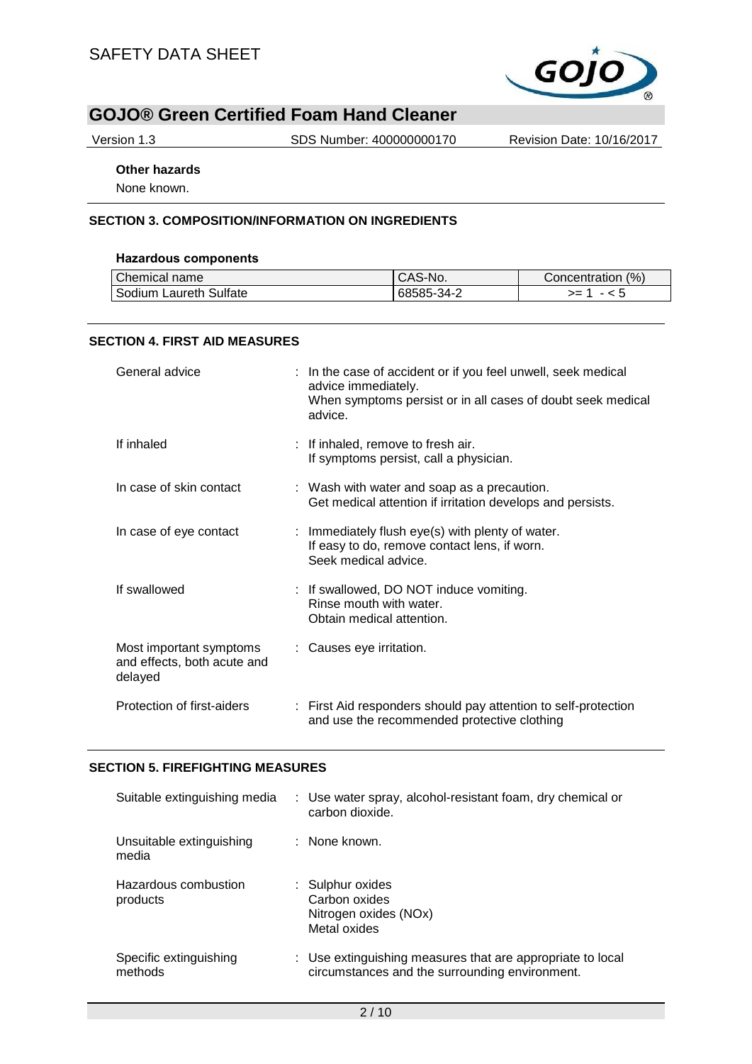

Version 1.3 SDS Number: 400000000170 Revision Date: 10/16/2017

## **Other hazards**

None known.

## **SECTION 3. COMPOSITION/INFORMATION ON INGREDIENTS**

#### **Hazardous components**

| Chemical name          | <sup>I</sup> CAS-No. | (% )<br><b>Concentration</b> |
|------------------------|----------------------|------------------------------|
| Sodium Laureth Sulfate | 68585-34-2           | >=                           |

#### **SECTION 4. FIRST AID MEASURES**

| General advice                                                    | : In the case of accident or if you feel unwell, seek medical<br>advice immediately.<br>When symptoms persist or in all cases of doubt seek medical<br>advice. |
|-------------------------------------------------------------------|----------------------------------------------------------------------------------------------------------------------------------------------------------------|
| If inhaled                                                        | : If inhaled, remove to fresh air.<br>If symptoms persist, call a physician.                                                                                   |
| In case of skin contact                                           | : Wash with water and soap as a precaution.<br>Get medical attention if irritation develops and persists.                                                      |
| In case of eye contact                                            | : Immediately flush eye(s) with plenty of water.<br>If easy to do, remove contact lens, if worn.<br>Seek medical advice.                                       |
| If swallowed                                                      | : If swallowed, DO NOT induce vomiting.<br>Rinse mouth with water.<br>Obtain medical attention.                                                                |
| Most important symptoms<br>and effects, both acute and<br>delayed | : Causes eye irritation.                                                                                                                                       |
| Protection of first-aiders                                        | : First Aid responders should pay attention to self-protection<br>and use the recommended protective clothing                                                  |

#### **SECTION 5. FIREFIGHTING MEASURES**

| Suitable extinguishing media      | : Use water spray, alcohol-resistant foam, dry chemical or<br>carbon dioxide.                                |
|-----------------------------------|--------------------------------------------------------------------------------------------------------------|
| Unsuitable extinguishing<br>media | : None known.                                                                                                |
| Hazardous combustion<br>products  | : Sulphur oxides<br>Carbon oxides<br>Nitrogen oxides (NOx)<br>Metal oxides                                   |
| Specific extinguishing<br>methods | : Use extinguishing measures that are appropriate to local<br>circumstances and the surrounding environment. |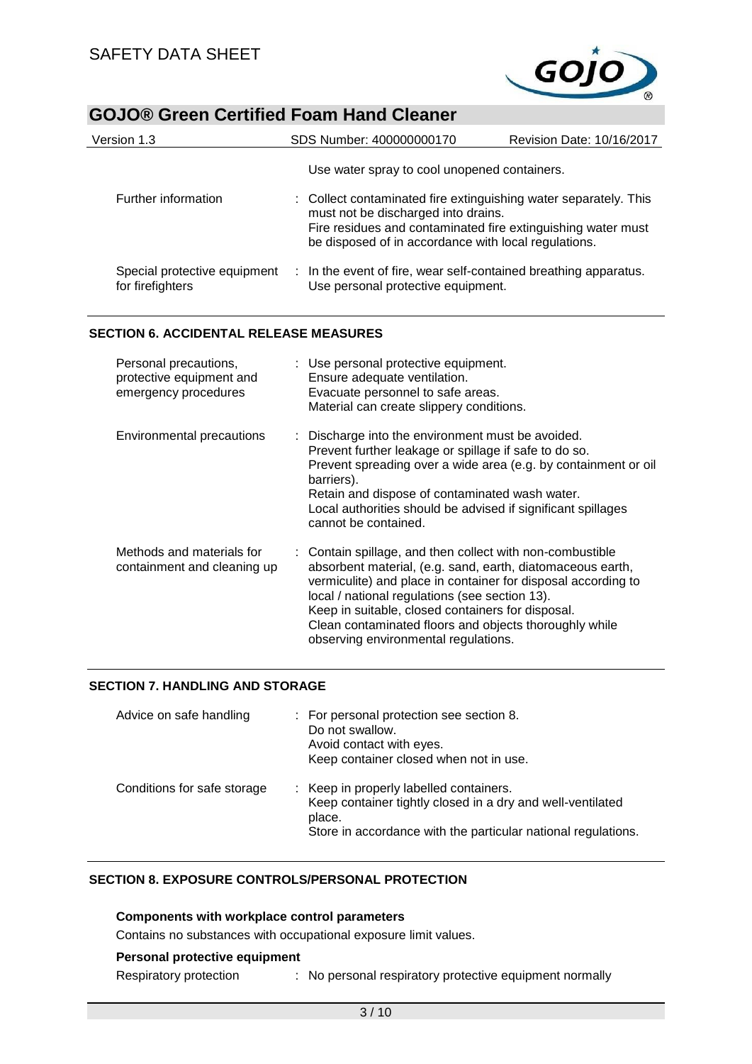

| Version 1.3                                      | SDS Number: 400000000170                                                                                                                                                                                                        | Revision Date: 10/16/2017 |
|--------------------------------------------------|---------------------------------------------------------------------------------------------------------------------------------------------------------------------------------------------------------------------------------|---------------------------|
|                                                  | Use water spray to cool unopened containers.                                                                                                                                                                                    |                           |
| Further information                              | : Collect contaminated fire extinguishing water separately. This<br>must not be discharged into drains.<br>Fire residues and contaminated fire extinguishing water must<br>be disposed of in accordance with local regulations. |                           |
| Special protective equipment<br>for firefighters | : In the event of fire, wear self-contained breathing apparatus.<br>Use personal protective equipment.                                                                                                                          |                           |
| SECTION 6. ACCIDENTAL RELEASE MEASURES           |                                                                                                                                                                                                                                 |                           |

### **SECTION 6. ACCIDENTAL RELEASE MEASURES**

| Personal precautions,<br>protective equipment and<br>emergency procedures | : Use personal protective equipment.<br>Ensure adequate ventilation.<br>Evacuate personnel to safe areas.<br>Material can create slippery conditions.                                                                                                                                                                                                                                             |
|---------------------------------------------------------------------------|---------------------------------------------------------------------------------------------------------------------------------------------------------------------------------------------------------------------------------------------------------------------------------------------------------------------------------------------------------------------------------------------------|
| Environmental precautions                                                 | : Discharge into the environment must be avoided.<br>Prevent further leakage or spillage if safe to do so.<br>Prevent spreading over a wide area (e.g. by containment or oil<br>barriers).<br>Retain and dispose of contaminated wash water.<br>Local authorities should be advised if significant spillages<br>cannot be contained.                                                              |
| Methods and materials for<br>containment and cleaning up                  | : Contain spillage, and then collect with non-combustible<br>absorbent material, (e.g. sand, earth, diatomaceous earth,<br>vermiculite) and place in container for disposal according to<br>local / national regulations (see section 13).<br>Keep in suitable, closed containers for disposal.<br>Clean contaminated floors and objects thoroughly while<br>observing environmental regulations. |

## **SECTION 7. HANDLING AND STORAGE**

| Advice on safe handling     | : For personal protection see section 8.<br>Do not swallow.<br>Avoid contact with eyes.<br>Keep container closed when not in use.                                                |
|-----------------------------|----------------------------------------------------------------------------------------------------------------------------------------------------------------------------------|
| Conditions for safe storage | : Keep in properly labelled containers.<br>Keep container tightly closed in a dry and well-ventilated<br>place.<br>Store in accordance with the particular national regulations. |

## **SECTION 8. EXPOSURE CONTROLS/PERSONAL PROTECTION**

**Components with workplace control parameters**

Contains no substances with occupational exposure limit values.

## **Personal protective equipment**

Respiratory protection : No personal respiratory protective equipment normally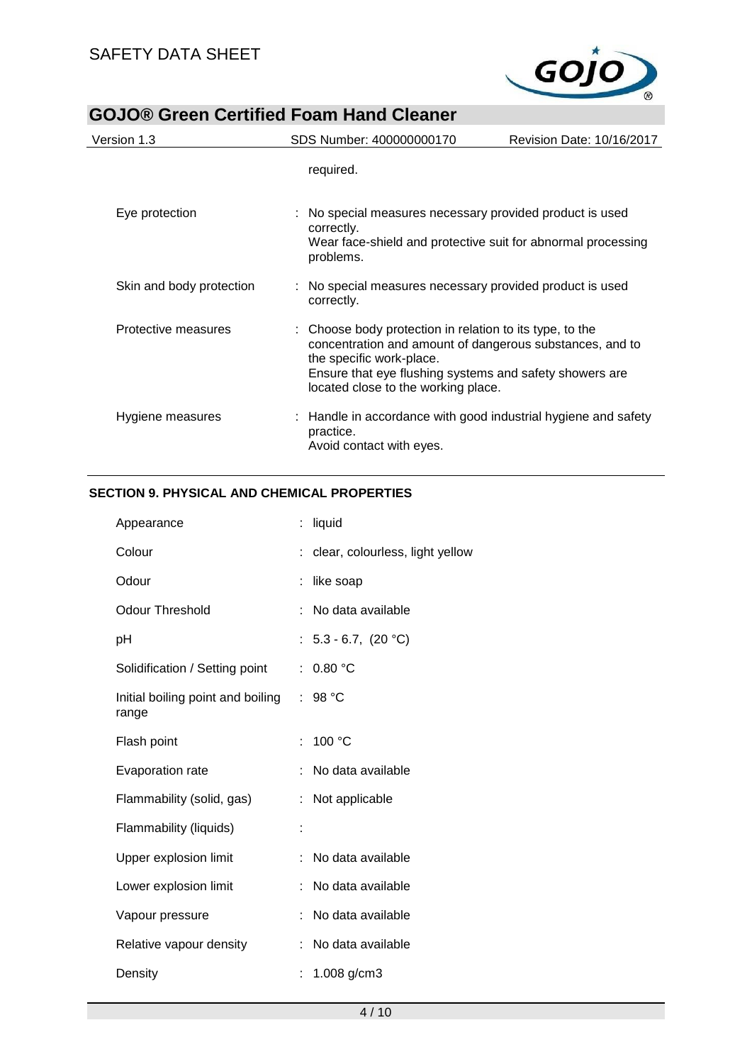

| Version 1.3              | SDS Number: 400000000170                                                                                                                                                                                                                           | Revision Date: 10/16/2017 |
|--------------------------|----------------------------------------------------------------------------------------------------------------------------------------------------------------------------------------------------------------------------------------------------|---------------------------|
|                          | required.                                                                                                                                                                                                                                          |                           |
| Eye protection           | : No special measures necessary provided product is used<br>correctly.<br>Wear face-shield and protective suit for abnormal processing<br>problems.                                                                                                |                           |
| Skin and body protection | No special measures necessary provided product is used<br>correctly.                                                                                                                                                                               |                           |
| Protective measures      | : Choose body protection in relation to its type, to the<br>concentration and amount of dangerous substances, and to<br>the specific work-place.<br>Ensure that eye flushing systems and safety showers are<br>located close to the working place. |                           |
| Hygiene measures         | Handle in accordance with good industrial hygiene and safety<br>practice.<br>Avoid contact with eyes.                                                                                                                                              |                           |

## **SECTION 9. PHYSICAL AND CHEMICAL PROPERTIES**

|                                   | : clear, colourless, light yellow                                                                    |
|-----------------------------------|------------------------------------------------------------------------------------------------------|
|                                   |                                                                                                      |
|                                   | No data available                                                                                    |
|                                   |                                                                                                      |
| 0.80 °C                           |                                                                                                      |
| 98 °C                             |                                                                                                      |
| 100 °C                            |                                                                                                      |
|                                   | No data available                                                                                    |
|                                   |                                                                                                      |
|                                   |                                                                                                      |
|                                   | No data available                                                                                    |
|                                   | No data available                                                                                    |
|                                   | No data available                                                                                    |
|                                   | No data available                                                                                    |
|                                   |                                                                                                      |
| Initial boiling point and boiling | liquid<br>like soap<br>: $5.3 - 6.7$ , $(20 °C)$<br>t.<br>÷<br>ŧ.<br>Not applicable<br>1.008 $g/cm3$ |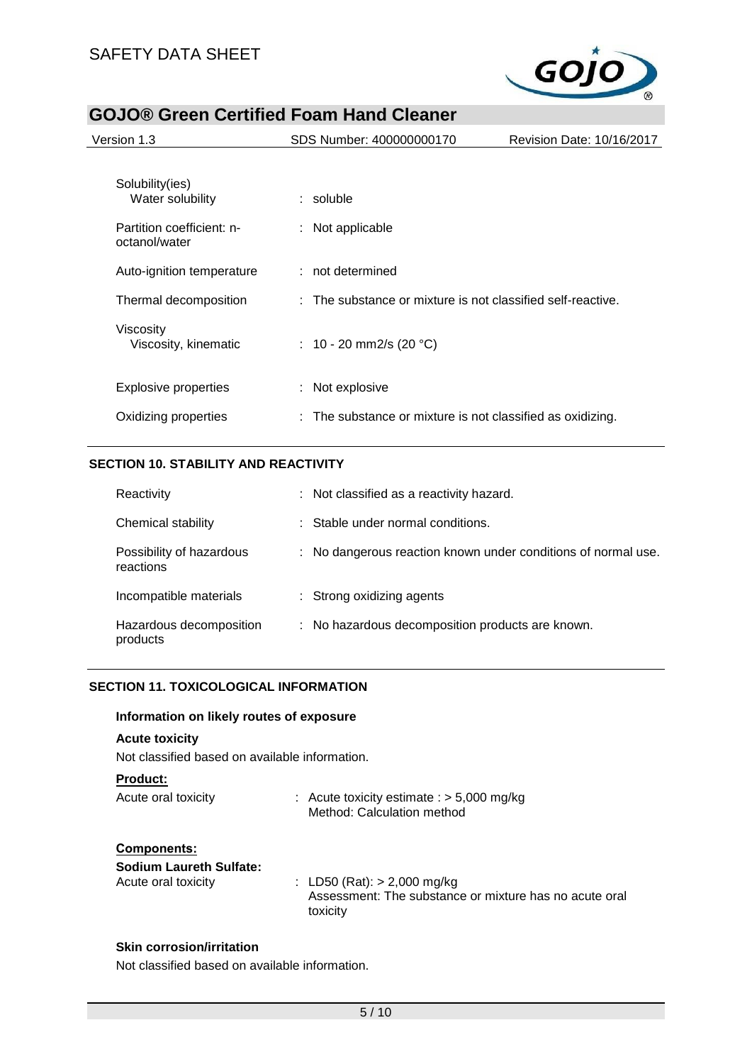

| SDS Number: 400000000170<br>Revision Date: 10/16/2017                                      |
|--------------------------------------------------------------------------------------------|
| : Not applicable                                                                           |
| : not determined<br>$\therefore$ The substance or mixture is not classified self-reactive. |
| : 10 - 20 mm2/s (20 °C)                                                                    |
| : Not explosive<br>: The substance or mixture is not classified as oxidizing.              |
|                                                                                            |

## **SECTION 10. STABILITY AND REACTIVITY**

| Reactivity                            | : Not classified as a reactivity hazard.                      |
|---------------------------------------|---------------------------------------------------------------|
| Chemical stability                    | : Stable under normal conditions.                             |
| Possibility of hazardous<br>reactions | : No dangerous reaction known under conditions of normal use. |
| Incompatible materials                | : Strong oxidizing agents                                     |
| Hazardous decomposition<br>products   | : No hazardous decomposition products are known.              |

## **SECTION 11. TOXICOLOGICAL INFORMATION**

#### **Information on likely routes of exposure**

#### **Acute toxicity**

Not classified based on available information.

#### **Product:**

| Acute oral toxicity | : Acute toxicity estimate : $> 5,000$ mg/kg |
|---------------------|---------------------------------------------|
|                     | Method: Calculation method                  |

#### **Components:**

| <b>Sodium Laureth Sulfate:</b> |                                                                                                     |
|--------------------------------|-----------------------------------------------------------------------------------------------------|
| Acute oral toxicity            | : LD50 (Rat): $> 2,000$ mg/kg<br>Assessment: The substance or mixture has no acute oral<br>toxicity |

#### **Skin corrosion/irritation**

Not classified based on available information.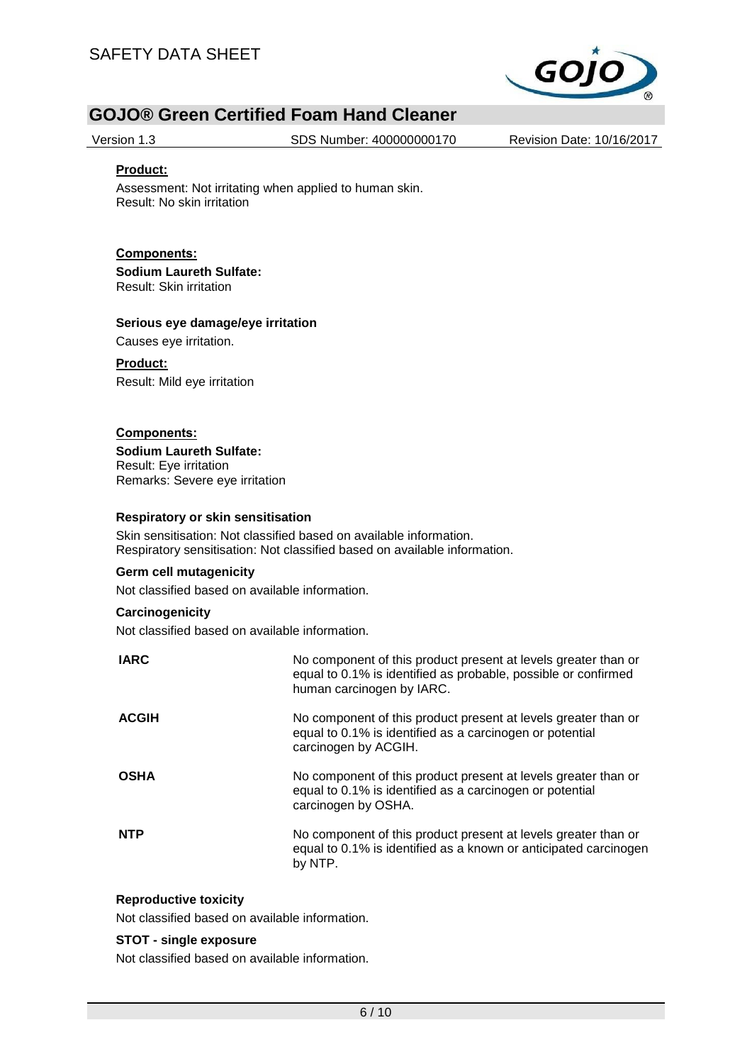

Version 1.3 SDS Number: 400000000170 Revision Date: 10/16/2017

#### **Product:**

Assessment: Not irritating when applied to human skin. Result: No skin irritation

### **Components: Sodium Laureth Sulfate:**

Result: Skin irritation

#### **Serious eye damage/eye irritation**

Causes eye irritation.

#### **Product:**

Result: Mild eye irritation

### **Components:**

**Sodium Laureth Sulfate:** Result: Eye irritation Remarks: Severe eye irritation

#### **Respiratory or skin sensitisation**

Skin sensitisation: Not classified based on available information. Respiratory sensitisation: Not classified based on available information.

#### **Germ cell mutagenicity**

Not classified based on available information.

#### **Carcinogenicity**

Not classified based on available information.

| <b>IARC</b>  | No component of this product present at levels greater than or<br>equal to 0.1% is identified as probable, possible or confirmed<br>human carcinogen by IARC. |
|--------------|---------------------------------------------------------------------------------------------------------------------------------------------------------------|
| <b>ACGIH</b> | No component of this product present at levels greater than or<br>equal to 0.1% is identified as a carcinogen or potential<br>carcinogen by ACGIH.            |
| <b>OSHA</b>  | No component of this product present at levels greater than or<br>equal to 0.1% is identified as a carcinogen or potential<br>carcinogen by OSHA.             |
| <b>NTP</b>   | No component of this product present at levels greater than or<br>equal to 0.1% is identified as a known or anticipated carcinogen<br>by NTP.                 |

#### **Reproductive toxicity**

Not classified based on available information.

#### **STOT - single exposure**

Not classified based on available information.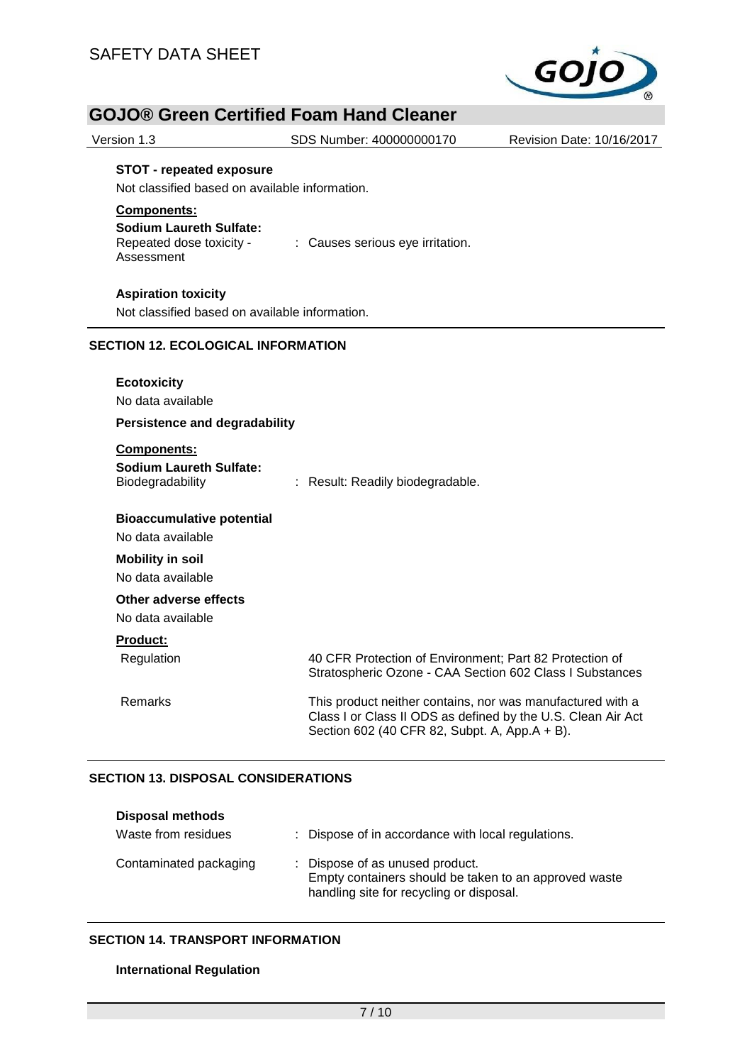

| Version 1.3                                                                                      | SDS Number: 400000000170                                                                                                                                                    | Revision Date: 10/16/2017 |  |
|--------------------------------------------------------------------------------------------------|-----------------------------------------------------------------------------------------------------------------------------------------------------------------------------|---------------------------|--|
| <b>STOT - repeated exposure</b><br>Not classified based on available information.<br>Components: |                                                                                                                                                                             |                           |  |
| <b>Sodium Laureth Sulfate:</b><br>Repeated dose toxicity -<br>Assessment                         | : Causes serious eye irritation.                                                                                                                                            |                           |  |
| <b>Aspiration toxicity</b><br>Not classified based on available information.                     |                                                                                                                                                                             |                           |  |
| <b>SECTION 12. ECOLOGICAL INFORMATION</b>                                                        |                                                                                                                                                                             |                           |  |
| <b>Ecotoxicity</b><br>No data available<br><b>Persistence and degradability</b>                  |                                                                                                                                                                             |                           |  |
| Components:<br><b>Sodium Laureth Sulfate:</b><br>Biodegradability                                | : Result: Readily biodegradable.                                                                                                                                            |                           |  |
| <b>Bioaccumulative potential</b><br>No data available                                            |                                                                                                                                                                             |                           |  |
| <b>Mobility in soil</b><br>No data available                                                     |                                                                                                                                                                             |                           |  |
| Other adverse effects<br>No data available                                                       |                                                                                                                                                                             |                           |  |
| <b>Product:</b>                                                                                  |                                                                                                                                                                             |                           |  |
| Regulation                                                                                       | 40 CFR Protection of Environment; Part 82 Protection of<br>Stratospheric Ozone - CAA Section 602 Class I Substances                                                         |                           |  |
| <b>Remarks</b>                                                                                   | This product neither contains, nor was manufactured with a<br>Class I or Class II ODS as defined by the U.S. Clean Air Act<br>Section 602 (40 CFR 82, Subpt. A, App.A + B). |                           |  |

#### **SECTION 13. DISPOSAL CONSIDERATIONS**

| <b>Disposal methods</b> |                                                                                                                                      |
|-------------------------|--------------------------------------------------------------------------------------------------------------------------------------|
| Waste from residues     | : Dispose of in accordance with local regulations.                                                                                   |
| Contaminated packaging  | : Dispose of as unused product.<br>Empty containers should be taken to an approved waste<br>handling site for recycling or disposal. |

#### **SECTION 14. TRANSPORT INFORMATION**

### **International Regulation**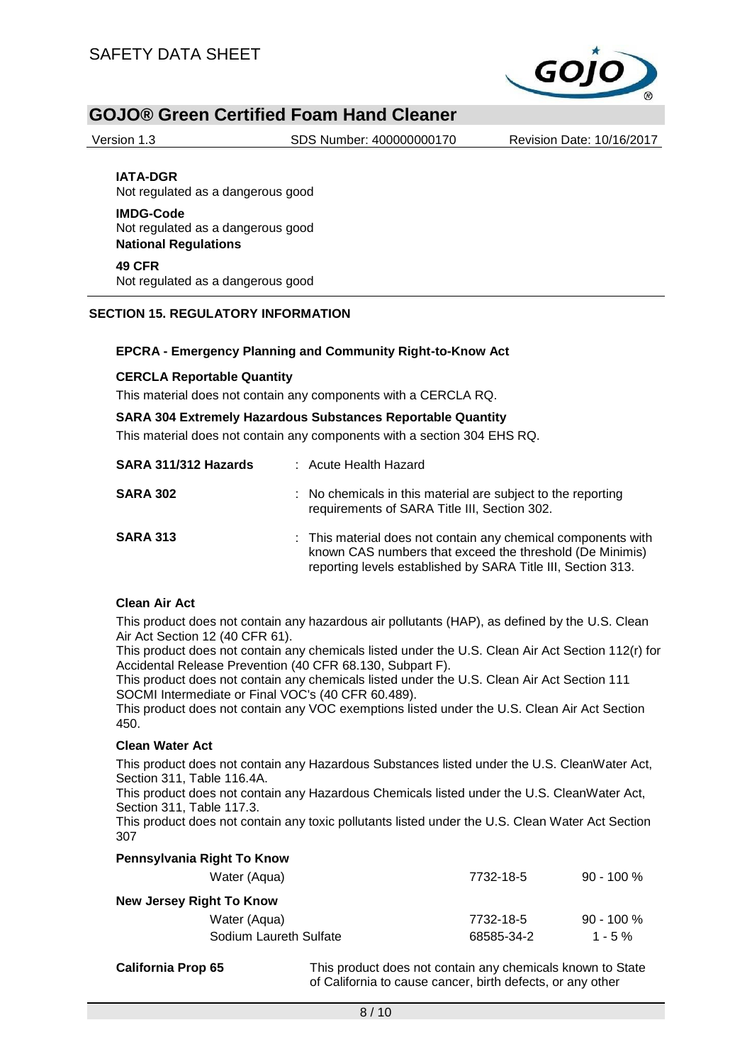

Version 1.3 SDS Number: 400000000170 Revision Date: 10/16/2017

**IATA-DGR** Not regulated as a dangerous good

**IMDG-Code** Not regulated as a dangerous good **National Regulations**

**49 CFR** Not regulated as a dangerous good

### **SECTION 15. REGULATORY INFORMATION**

#### **EPCRA - Emergency Planning and Community Right-to-Know Act**

#### **CERCLA Reportable Quantity**

This material does not contain any components with a CERCLA RQ.

#### **SARA 304 Extremely Hazardous Substances Reportable Quantity**

This material does not contain any components with a section 304 EHS RQ.

| SARA 311/312 Hazards | : Acute Health Hazard                                                                                                                                                                     |
|----------------------|-------------------------------------------------------------------------------------------------------------------------------------------------------------------------------------------|
| <b>SARA 302</b>      | : No chemicals in this material are subject to the reporting<br>requirements of SARA Title III, Section 302.                                                                              |
| <b>SARA 313</b>      | : This material does not contain any chemical components with<br>known CAS numbers that exceed the threshold (De Minimis)<br>reporting levels established by SARA Title III, Section 313. |

#### **Clean Air Act**

This product does not contain any hazardous air pollutants (HAP), as defined by the U.S. Clean Air Act Section 12 (40 CFR 61).

This product does not contain any chemicals listed under the U.S. Clean Air Act Section 112(r) for Accidental Release Prevention (40 CFR 68.130, Subpart F).

This product does not contain any chemicals listed under the U.S. Clean Air Act Section 111 SOCMI Intermediate or Final VOC's (40 CFR 60.489).

This product does not contain any VOC exemptions listed under the U.S. Clean Air Act Section 450.

#### **Clean Water Act**

This product does not contain any Hazardous Substances listed under the U.S. CleanWater Act, Section 311, Table 116.4A.

This product does not contain any Hazardous Chemicals listed under the U.S. CleanWater Act, Section 311, Table 117.3.

This product does not contain any toxic pollutants listed under the U.S. Clean Water Act Section 307

| Water (Aqua)             | 7732-18-5  | $90 - 100 %$  |
|--------------------------|------------|---------------|
| New Jersey Right To Know |            |               |
| Water (Aqua)             | 7732-18-5  | $90 - 100 \%$ |
| Sodium Laureth Sulfate   | 68585-34-2 | $1 - 5 \%$    |
|                          |            |               |

**Pennsylvania Right To Know**

**California Prop 65** This product does not contain any chemicals known to State of California to cause cancer, birth defects, or any other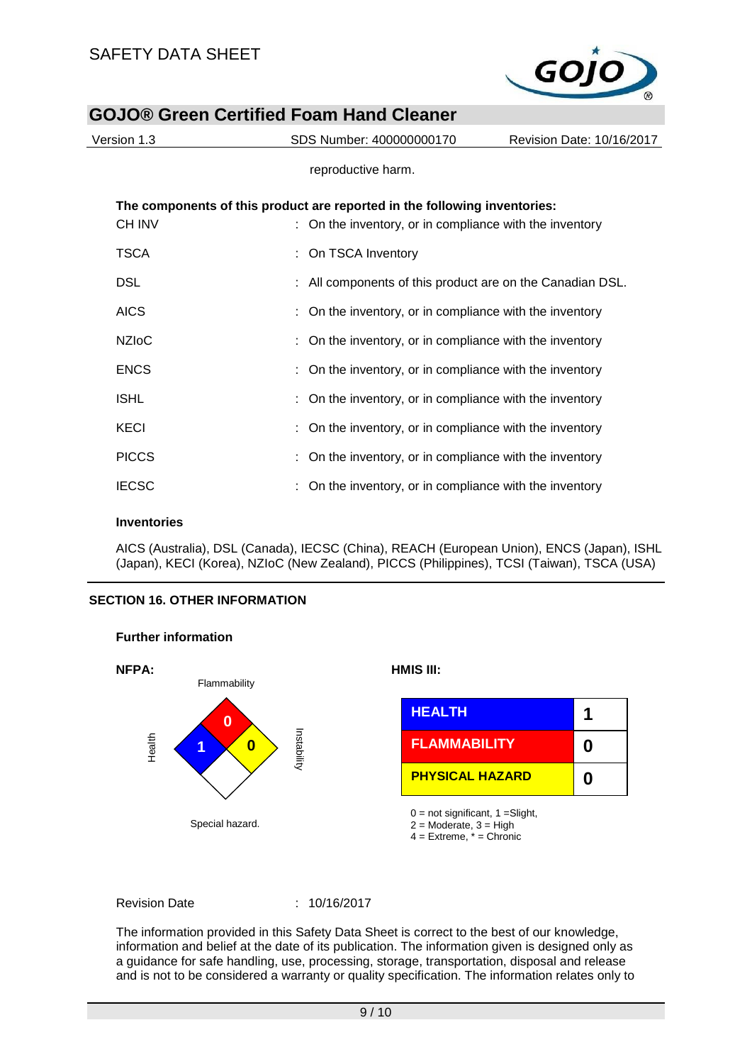

| Version 1.3   | SDS Number: 400000000170                                                                                                             | Revision Date: 10/16/2017 |
|---------------|--------------------------------------------------------------------------------------------------------------------------------------|---------------------------|
|               | reproductive harm.                                                                                                                   |                           |
| <b>CH INV</b> | The components of this product are reported in the following inventories:<br>: On the inventory, or in compliance with the inventory |                           |
| TSCA          | : On TSCA Inventory                                                                                                                  |                           |
| <b>DSL</b>    | : All components of this product are on the Canadian DSL.                                                                            |                           |
| <b>AICS</b>   | On the inventory, or in compliance with the inventory                                                                                |                           |
| <b>NZIoC</b>  | On the inventory, or in compliance with the inventory                                                                                |                           |
| <b>ENCS</b>   | On the inventory, or in compliance with the inventory                                                                                |                           |
| <b>ISHL</b>   | : On the inventory, or in compliance with the inventory                                                                              |                           |
| <b>KECI</b>   | On the inventory, or in compliance with the inventory                                                                                |                           |
| <b>PICCS</b>  | On the inventory, or in compliance with the inventory                                                                                |                           |
| <b>IECSC</b>  | On the inventory, or in compliance with the inventory                                                                                |                           |
|               |                                                                                                                                      |                           |

#### **Inventories**

AICS (Australia), DSL (Canada), IECSC (China), REACH (European Union), ENCS (Japan), ISHL (Japan), KECI (Korea), NZIoC (New Zealand), PICCS (Philippines), TCSI (Taiwan), TSCA (USA)

#### **SECTION 16. OTHER INFORMATION**



## **Further information**

Revision Date : 10/16/2017

The information provided in this Safety Data Sheet is correct to the best of our knowledge, information and belief at the date of its publication. The information given is designed only as a guidance for safe handling, use, processing, storage, transportation, disposal and release and is not to be considered a warranty or quality specification. The information relates only to